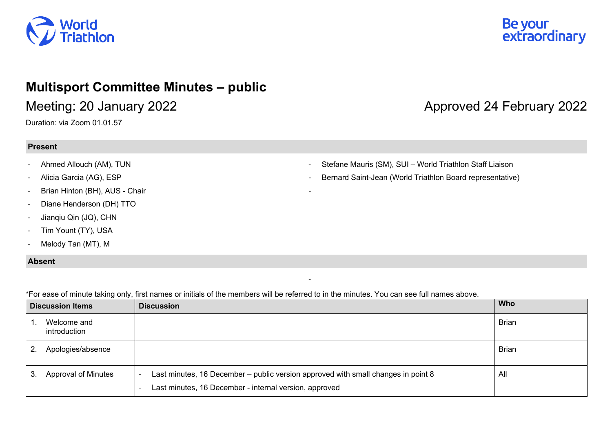

### **Multisport Committee Minutes – public**

Duration: via Zoom 01.01.57

#### **Present**

- Ahmed Allouch (AM), TUN
- Alicia Garcia (AG), ESP
- Brian Hinton (BH), AUS Chair
- Diane Henderson (DH) TTO
- Jianqiu Qin (JQ), CHN
- Tim Yount (TY), USA
- Melody Tan (MT), M

#### **Absent**

\*For ease of minute taking only, first names or initials of the members will be referred to in the minutes. You can see full names above.

| <b>Discussion Items</b> |                             | <b>Discussion</b>                                                                                                                           | Who          |
|-------------------------|-----------------------------|---------------------------------------------------------------------------------------------------------------------------------------------|--------------|
|                         | Welcome and<br>introduction |                                                                                                                                             | <b>Brian</b> |
| <sup>2.</sup>           | Apologies/absence           |                                                                                                                                             | <b>Brian</b> |
| 3.                      | Approval of Minutes         | Last minutes, 16 December – public version approved with small changes in point 8<br>Last minutes, 16 December - internal version, approved | All          |

-

-

# Be your<br>extraordinary

## Meeting: 20 January 2022 **Alternative Controller Approved 24 February 2022**

Stefane Mauris (SM), SUI – World Triathlon Staff Liaison

- Bernard Saint-Jean (World Triathlon Board representative)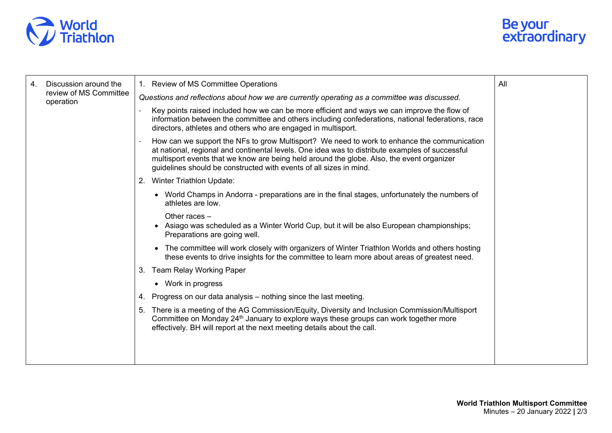



| 4. | Discussion around the<br>review of MS Committee<br>operation | 1. Review of MS Committee Operations                                                                                                                                                                                                                                                                                                                                                                                                                                 | All |
|----|--------------------------------------------------------------|----------------------------------------------------------------------------------------------------------------------------------------------------------------------------------------------------------------------------------------------------------------------------------------------------------------------------------------------------------------------------------------------------------------------------------------------------------------------|-----|
|    |                                                              | Questions and reflections about how we are currently operating as a committee was discussed.                                                                                                                                                                                                                                                                                                                                                                         |     |
|    |                                                              | Key points raised included how we can be more efficient and ways we can improve the flow of<br>information between the committee and others including confederations, national federations, race<br>directors, athletes and others who are engaged in multisport.                                                                                                                                                                                                    |     |
|    |                                                              | How can we support the NFs to grow Multisport? We need to work to enhance the communication<br>at national, regional and continental levels. One idea was to distribute examples of successful<br>multisport events that we know are being held around the globe. Also, the event organizer<br>guidelines should be constructed with events of all sizes in mind.                                                                                                    |     |
|    |                                                              | 2. Winter Triathlon Update:                                                                                                                                                                                                                                                                                                                                                                                                                                          |     |
|    |                                                              | • World Champs in Andorra - preparations are in the final stages, unfortunately the numbers of<br>athletes are low.<br>Other races -<br>• Asiago was scheduled as a Winter World Cup, but it will be also European championships;<br>Preparations are going well.<br>• The committee will work closely with organizers of Winter Triathlon Worlds and others hosting<br>these events to drive insights for the committee to learn more about areas of greatest need. |     |
|    |                                                              |                                                                                                                                                                                                                                                                                                                                                                                                                                                                      |     |
|    |                                                              |                                                                                                                                                                                                                                                                                                                                                                                                                                                                      |     |
|    |                                                              | 3. Team Relay Working Paper                                                                                                                                                                                                                                                                                                                                                                                                                                          |     |
|    |                                                              | • Work in progress                                                                                                                                                                                                                                                                                                                                                                                                                                                   |     |
|    |                                                              | 4. Progress on our data analysis – nothing since the last meeting.                                                                                                                                                                                                                                                                                                                                                                                                   |     |
|    |                                                              | 5. There is a meeting of the AG Commission/Equity, Diversity and Inclusion Commission/Multisport<br>Committee on Monday 24 <sup>th</sup> January to explore ways these groups can work together more<br>effectively. BH will report at the next meeting details about the call.                                                                                                                                                                                      |     |
|    |                                                              |                                                                                                                                                                                                                                                                                                                                                                                                                                                                      |     |